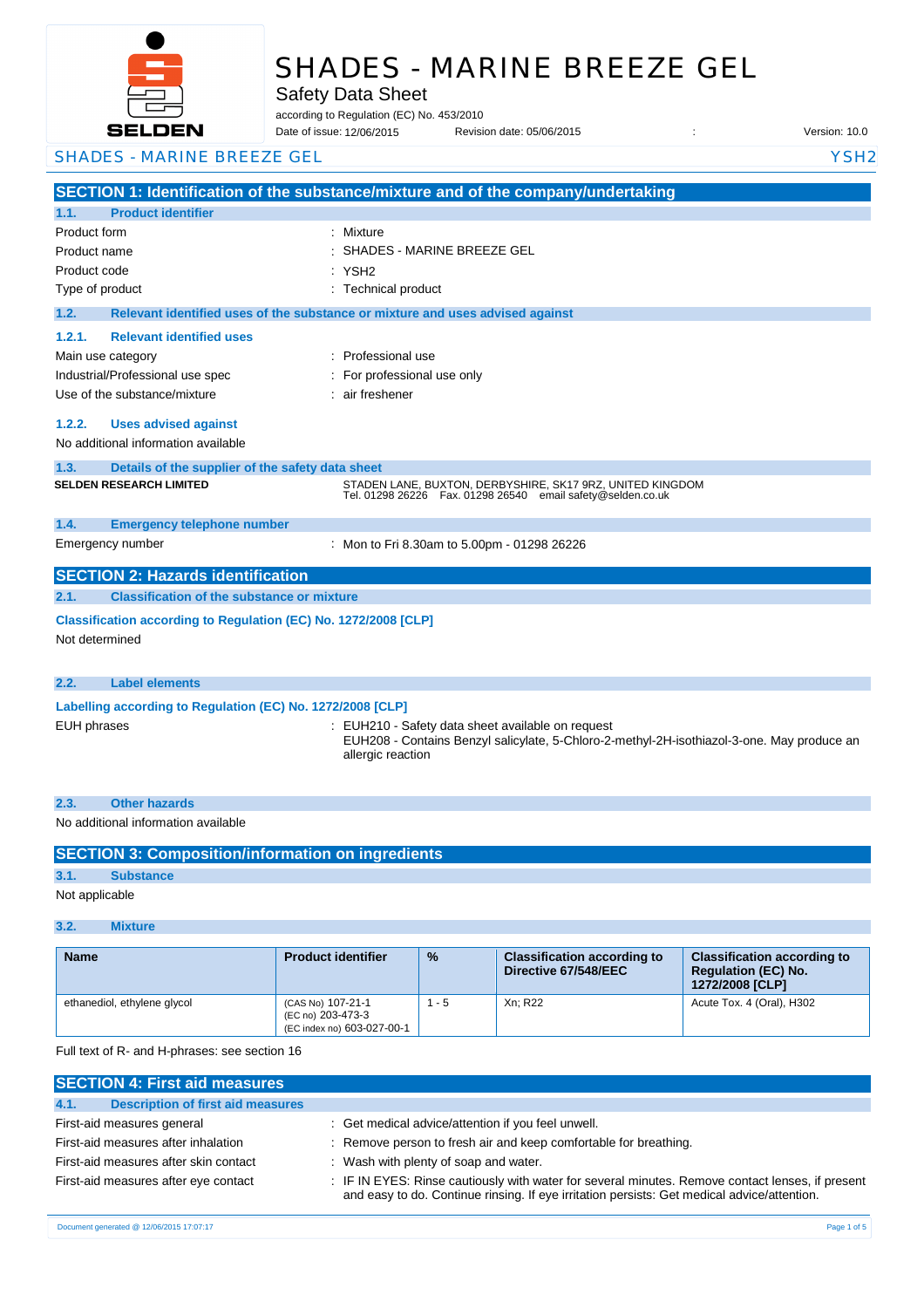

# SHADES - MARINE BREEZE GEL

Safety Data Sheet

according to Regulation (EC) No. 453/2010

Date of issue: Revision date: 05/06/2015 : Version: 10.0 12/06/2015

SHADES - MARINE BREEZE GEL YSH2

**SECTION 1: Identification of the substance/mixture and of the company/undertaking 1.1. Product identifier** Product form : Nixture : Mixture Product name : Product code : Type of product Type of product in the set of the set of the set of the set of the set of the set of the set of the set of the set of the set of the set of the set of the set of the set of the set of the set of the set of **1.2. Relevant identified uses of the substance or mixture and uses advised against 1.2.1. Relevant identified uses**  Main use category **intervalled** and the category of the category of the category of the category of the category Industrial/Professional use spec : For professional use only Use of the substance/mixture in the state of the substance/mixture in the state of the substance **1.2.2. Uses advised against** No additional information available **1.3. Details of the supplier of the safety data sheet 1.4. Emergency telephone number** Emergency number : **SECTION 2: Hazards identification 2.1. Classification of the substance or mixture Classification according to Regulation (EC) No. 1272/2008 [CLP]** Not determined **2.2. Label elements Labelling according to Regulation (EC) No. 1272/2008 [CLP]** EUH phrases **in the state of the Safety data sheet available on request**  $\ddot{\phantom{a}}$ : EUH210 - Safety data sheet available on request EUH208 - Contains Benzyl salicylate, 5-Chloro-2-methyl-2H-isothiazol-3-one. May produce an allergic reaction SHADES - MARINE BREEZE GEL : YSH2 **SELDEN RESEARCH LIMITED** STADEN LANE, BUXTON, DERBYSHIRE, SK17 9RZ, UNITED KINGDOM Tel. 01298 26226 Fax. 01298 26540 email safety@selden.co.uk Mon to Fri 8.30am to 5.00pm - 01298 26226

| 2.3 |                                     |
|-----|-------------------------------------|
|     | No additional information available |

| <b>SECTION 3: Composition/information on ingredients</b> |                  |  |  |  |
|----------------------------------------------------------|------------------|--|--|--|
| 3.1.                                                     | <b>Substance</b> |  |  |  |
| Not applicable                                           |                  |  |  |  |

# **3.2. Mixture**

| <b>Name</b>                 | <b>Product identifier</b>                                            | $\frac{9}{6}$ | <b>Classification according to</b><br>Directive 67/548/EEC | <b>Classification according to</b><br><b>Requlation (EC) No.</b><br>1272/2008 [CLP] |
|-----------------------------|----------------------------------------------------------------------|---------------|------------------------------------------------------------|-------------------------------------------------------------------------------------|
| ethanediol, ethylene glycol | (CAS No) 107-21-1<br>(EC no) 203-473-3<br>(EC index no) 603-027-00-1 | - 5           | Xn: R22                                                    | Acute Tox. 4 (Oral), H302                                                           |

Full text of R- and H-phrases: see section 16

| <b>SECTION 4: First aid measures</b>             |                                                                                                                                                                                                 |  |  |
|--------------------------------------------------|-------------------------------------------------------------------------------------------------------------------------------------------------------------------------------------------------|--|--|
| 4.1.<br><b>Description of first aid measures</b> |                                                                                                                                                                                                 |  |  |
| First-aid measures general                       | : Get medical advice/attention if you feel unwell.                                                                                                                                              |  |  |
| First-aid measures after inhalation              | : Remove person to fresh air and keep comfortable for breathing.                                                                                                                                |  |  |
| First-aid measures after skin contact            | : Wash with plenty of soap and water.                                                                                                                                                           |  |  |
| First-aid measures after eye contact             | : IF IN EYES: Rinse cautiously with water for several minutes. Remove contact lenses, if present<br>and easy to do. Continue rinsing. If eye irritation persists: Get medical advice/attention. |  |  |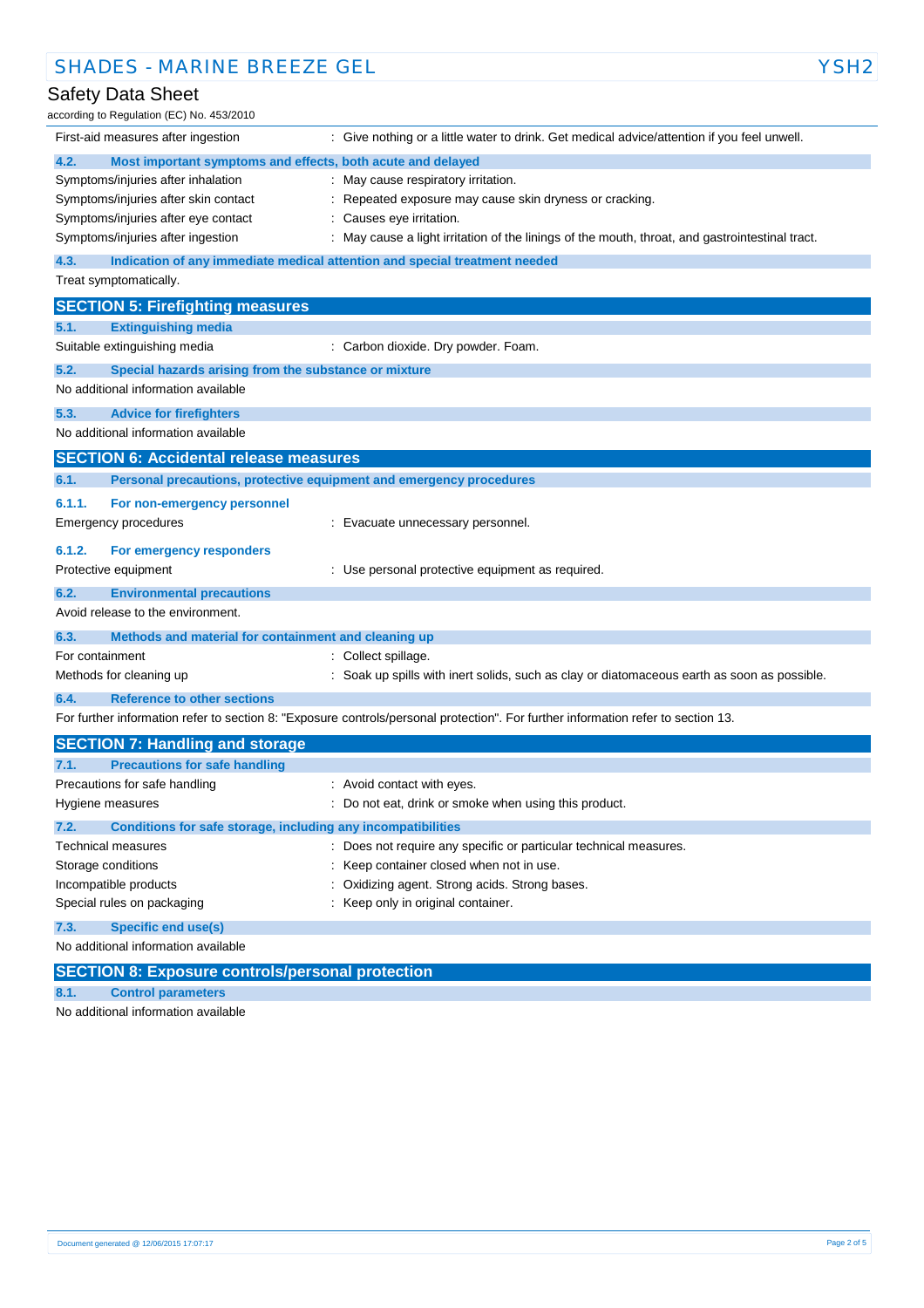| <b>SHADES - MARINE BREEZE GEL</b>                                               |                                                                                                                                   | YSH2 |
|---------------------------------------------------------------------------------|-----------------------------------------------------------------------------------------------------------------------------------|------|
| Safety Data Sheet                                                               |                                                                                                                                   |      |
| according to Regulation (EC) No. 453/2010                                       |                                                                                                                                   |      |
| First-aid measures after ingestion                                              | : Give nothing or a little water to drink. Get medical advice/attention if you feel unwell.                                       |      |
| 4.2.<br>Most important symptoms and effects, both acute and delayed             |                                                                                                                                   |      |
| Symptoms/injuries after inhalation                                              | : May cause respiratory irritation.                                                                                               |      |
| Symptoms/injuries after skin contact                                            | Repeated exposure may cause skin dryness or cracking.                                                                             |      |
| Symptoms/injuries after eye contact                                             | : Causes eye irritation.                                                                                                          |      |
| Symptoms/injuries after ingestion                                               | : May cause a light irritation of the linings of the mouth, throat, and gastrointestinal tract.                                   |      |
| 4.3.                                                                            | Indication of any immediate medical attention and special treatment needed                                                        |      |
| Treat symptomatically.                                                          |                                                                                                                                   |      |
| <b>SECTION 5: Firefighting measures</b>                                         |                                                                                                                                   |      |
| 5.1.<br><b>Extinguishing media</b>                                              |                                                                                                                                   |      |
| Suitable extinguishing media                                                    | : Carbon dioxide. Dry powder. Foam.                                                                                               |      |
| 5.2.<br>Special hazards arising from the substance or mixture                   |                                                                                                                                   |      |
| No additional information available                                             |                                                                                                                                   |      |
| 5.3.<br><b>Advice for firefighters</b>                                          |                                                                                                                                   |      |
| No additional information available                                             |                                                                                                                                   |      |
| <b>SECTION 6: Accidental release measures</b>                                   |                                                                                                                                   |      |
| 6.1.                                                                            | Personal precautions, protective equipment and emergency procedures                                                               |      |
| 6.1.1.<br>For non-emergency personnel                                           |                                                                                                                                   |      |
| <b>Emergency procedures</b>                                                     | : Evacuate unnecessary personnel.                                                                                                 |      |
| 6.1.2.<br>For emergency responders                                              |                                                                                                                                   |      |
| Protective equipment                                                            | : Use personal protective equipment as required.                                                                                  |      |
|                                                                                 |                                                                                                                                   |      |
| 6.2.<br><b>Environmental precautions</b><br>Avoid release to the environment.   |                                                                                                                                   |      |
|                                                                                 |                                                                                                                                   |      |
| 6.3.<br>Methods and material for containment and cleaning up<br>For containment | : Collect spillage.                                                                                                               |      |
| Methods for cleaning up                                                         | : Soak up spills with inert solids, such as clay or diatomaceous earth as soon as possible.                                       |      |
|                                                                                 |                                                                                                                                   |      |
| <b>Reference to other sections</b><br>6.4.                                      | For further information refer to section 8: "Exposure controls/personal protection". For further information refer to section 13. |      |
|                                                                                 |                                                                                                                                   |      |
| <b>SECTION 7: Handling and storage</b>                                          |                                                                                                                                   |      |
| 7.1.<br><b>Precautions for safe handling</b>                                    |                                                                                                                                   |      |
| Precautions for safe handling                                                   | : Avoid contact with eyes.                                                                                                        |      |
| Hygiene measures                                                                | Do not eat, drink or smoke when using this product.                                                                               |      |
| 7.2.<br>Conditions for safe storage, including any incompatibilities            |                                                                                                                                   |      |
| Technical measures<br>Storage conditions                                        | : Does not require any specific or particular technical measures.<br>Keep container closed when not in use.                       |      |
| Incompatible products                                                           | Oxidizing agent. Strong acids. Strong bases.                                                                                      |      |
| Special rules on packaging                                                      | : Keep only in original container.                                                                                                |      |
| <b>Specific end use(s)</b><br>7.3.                                              |                                                                                                                                   |      |
| No additional information available                                             |                                                                                                                                   |      |

**SECTION 8: Exposure controls/personal protection**

**8.1. Control parameters**

No additional information available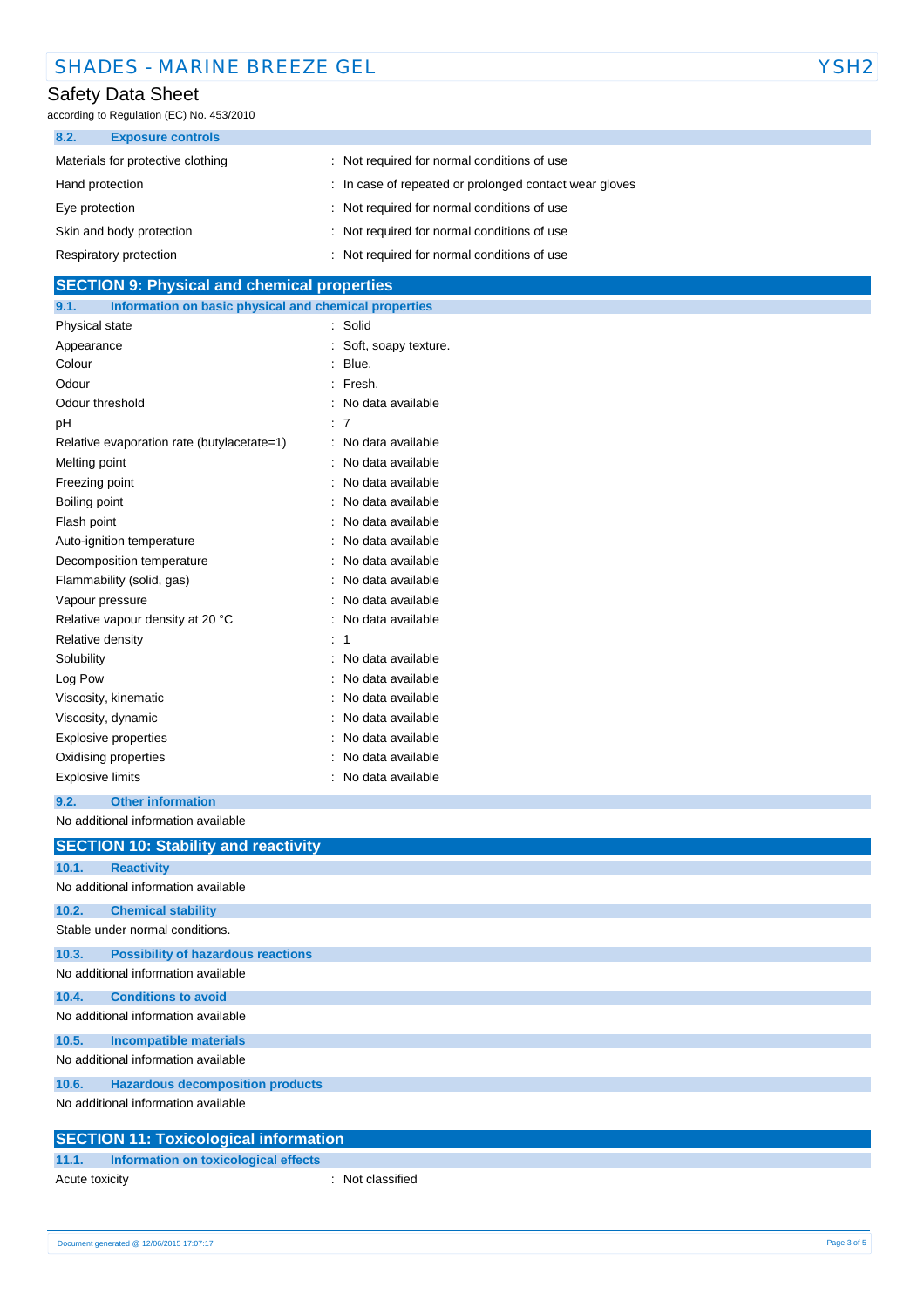| <b>SHADES - MARINE BREEZE GEL</b> | YSH <sub>2</sub> |
|-----------------------------------|------------------|
|-----------------------------------|------------------|

# Safety Data Sheet

according to Regulation (EC) No. 453/2010

| 8.2.<br><b>Exposure controls</b>  |                                                        |
|-----------------------------------|--------------------------------------------------------|
| Materials for protective clothing | : Not required for normal conditions of use            |
| Hand protection                   | : In case of repeated or prolonged contact wear gloves |
| Eye protection                    | : Not required for normal conditions of use            |
| Skin and body protection          | : Not required for normal conditions of use            |
| Respiratory protection            | : Not required for normal conditions of use            |

| <b>SECTION 9: Physical and chemical properties</b> |                                                       |  |
|----------------------------------------------------|-------------------------------------------------------|--|
| 9.1.                                               | Information on basic physical and chemical properties |  |

| Physical state                             | Solid                |
|--------------------------------------------|----------------------|
| Appearance                                 | Soft, soapy texture. |
| Colour                                     | Blue.                |
| Odour                                      | Fresh.               |
| Odour threshold                            | No data available    |
| рH                                         | 7                    |
| Relative evaporation rate (butylacetate=1) | No data available    |
| Melting point                              | No data available    |
| Freezing point                             | No data available    |
| Boiling point                              | No data available    |
| Flash point                                | No data available    |
| Auto-ignition temperature                  | No data available    |
| Decomposition temperature                  | No data available    |
| Flammability (solid, gas)                  | No data available    |
| Vapour pressure                            | No data available    |
| Relative vapour density at 20 °C           | No data available    |
| Relative density                           | 1                    |
| Solubility                                 | No data available    |
| Log Pow                                    | No data available    |
| Viscosity, kinematic                       | No data available    |
| Viscosity, dynamic                         | No data available    |
| <b>Explosive properties</b>                | No data available    |
| Oxidising properties                       | No data available    |
| <b>Explosive limits</b>                    | No data available    |

### **9.2. Other information**

No additional information available

|       | <b>SECTION 10: Stability and reactivity</b>  |
|-------|----------------------------------------------|
| 10.1. | <b>Reactivity</b>                            |
|       | No additional information available          |
| 10.2. | <b>Chemical stability</b>                    |
|       | Stable under normal conditions.              |
| 10.3. | <b>Possibility of hazardous reactions</b>    |
|       | No additional information available          |
| 10.4. | <b>Conditions to avoid</b>                   |
|       | No additional information available          |
| 10.5. | <b>Incompatible materials</b>                |
|       | No additional information available          |
| 10.6. | <b>Hazardous decomposition products</b>      |
|       | No additional information available          |
|       | <b>SECTION 11: Toxicological information</b> |

## **11.1. Information on toxicological effects**

| .              | <u>INTERNATION ON CONCORDICAL ENECTS</u> |                  |  |
|----------------|------------------------------------------|------------------|--|
| Acute toxicity |                                          | : Not classified |  |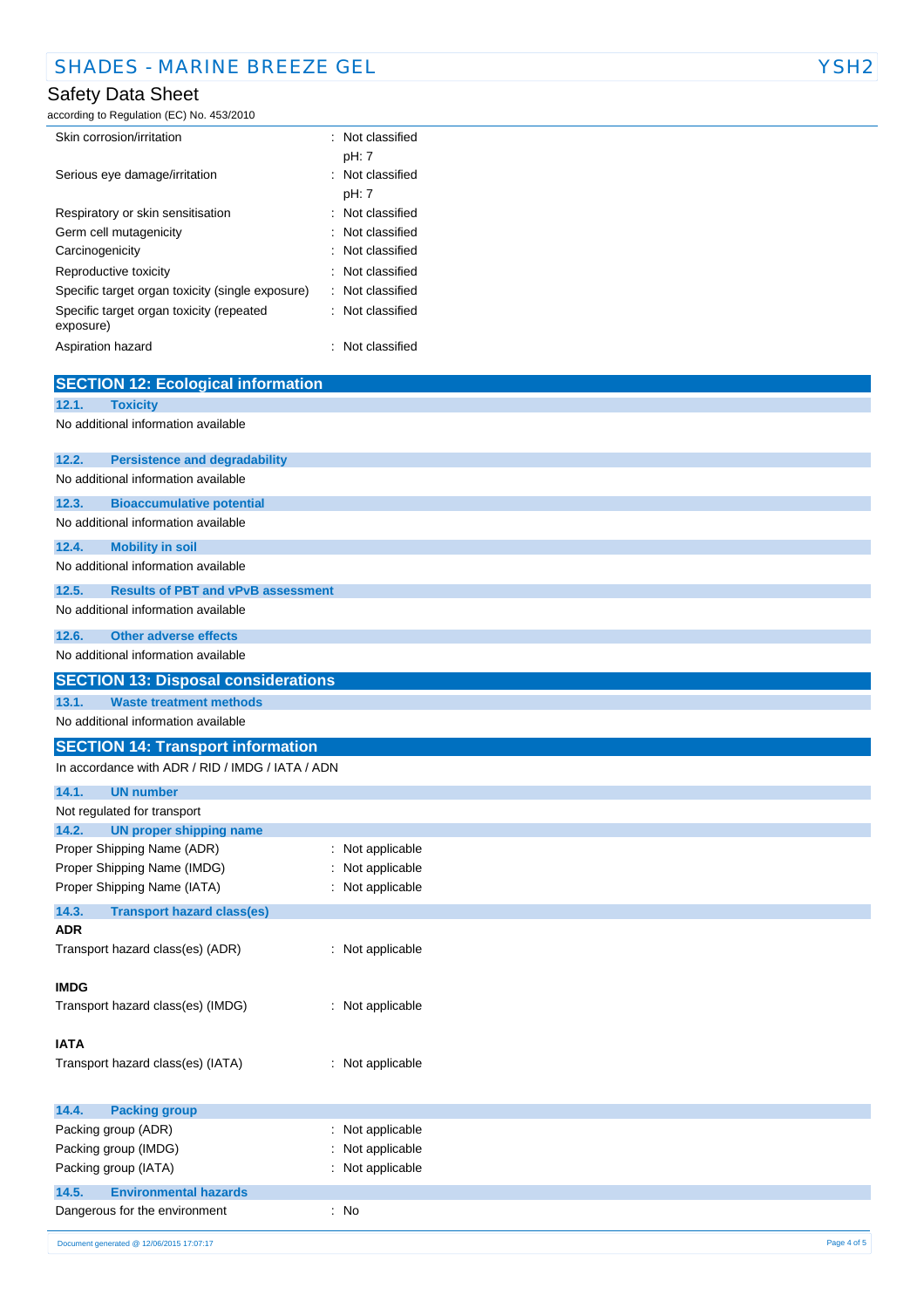### Safety Data Sheet

according to Regulation (EC) No. 453/2010

| Skin corrosion/irritation                             | $\therefore$ Not classified |
|-------------------------------------------------------|-----------------------------|
|                                                       | pH: 7                       |
| Serious eye damage/irritation                         | : Not classified            |
|                                                       | pH: 7                       |
| Respiratory or skin sensitisation                     | $\therefore$ Not classified |
| Germ cell mutagenicity                                | : Not classified            |
| Carcinogenicity                                       | $\therefore$ Not classified |
| Reproductive toxicity                                 | $\therefore$ Not classified |
| Specific target organ toxicity (single exposure)      | : Not classified            |
| Specific target organ toxicity (repeated<br>exposure) | $\therefore$ Not classified |
| Aspiration hazard                                     | Not classified              |

|             | <b>SECTION 12: Ecological information</b>        |                     |             |
|-------------|--------------------------------------------------|---------------------|-------------|
| 12.1.       | <b>Toxicity</b>                                  |                     |             |
|             | No additional information available              |                     |             |
|             |                                                  |                     |             |
| 12.2.       | <b>Persistence and degradability</b>             |                     |             |
|             | No additional information available              |                     |             |
| 12.3.       | <b>Bioaccumulative potential</b>                 |                     |             |
|             | No additional information available              |                     |             |
| 12.4.       | <b>Mobility in soil</b>                          |                     |             |
|             | No additional information available              |                     |             |
| 12.5.       | <b>Results of PBT and vPvB assessment</b>        |                     |             |
|             | No additional information available              |                     |             |
|             |                                                  |                     |             |
| 12.6.       | <b>Other adverse effects</b>                     |                     |             |
|             | No additional information available              |                     |             |
|             | <b>SECTION 13: Disposal considerations</b>       |                     |             |
| 13.1.       | <b>Waste treatment methods</b>                   |                     |             |
|             | No additional information available              |                     |             |
|             | <b>SECTION 14: Transport information</b>         |                     |             |
|             | In accordance with ADR / RID / IMDG / IATA / ADN |                     |             |
| 14.1.       | <b>UN number</b>                                 |                     |             |
|             | Not regulated for transport                      |                     |             |
| 14.2.       | <b>UN proper shipping name</b>                   |                     |             |
|             | Proper Shipping Name (ADR)                       | Not applicable<br>÷ |             |
|             | Proper Shipping Name (IMDG)                      | Not applicable      |             |
|             | Proper Shipping Name (IATA)                      | : Not applicable    |             |
| 14.3.       | <b>Transport hazard class(es)</b>                |                     |             |
| ADR         |                                                  |                     |             |
|             | Transport hazard class(es) (ADR)                 | : Not applicable    |             |
|             |                                                  |                     |             |
| <b>IMDG</b> |                                                  |                     |             |
|             | Transport hazard class(es) (IMDG)                | : Not applicable    |             |
|             |                                                  |                     |             |
| <b>IATA</b> |                                                  |                     |             |
|             | Transport hazard class(es) (IATA)                | : Not applicable    |             |
|             |                                                  |                     |             |
| 14.4.       | <b>Packing group</b>                             |                     |             |
|             | Packing group (ADR)                              | Not applicable      |             |
|             | Packing group (IMDG)                             | Not applicable      |             |
|             | Packing group (IATA)                             | Not applicable      |             |
| 14.5.       | <b>Environmental hazards</b>                     |                     |             |
|             | Dangerous for the environment                    | $:$ No              |             |
|             | Document generated @ 12/06/2015 17:07:17         |                     | Page 4 of 5 |
|             |                                                  |                     |             |